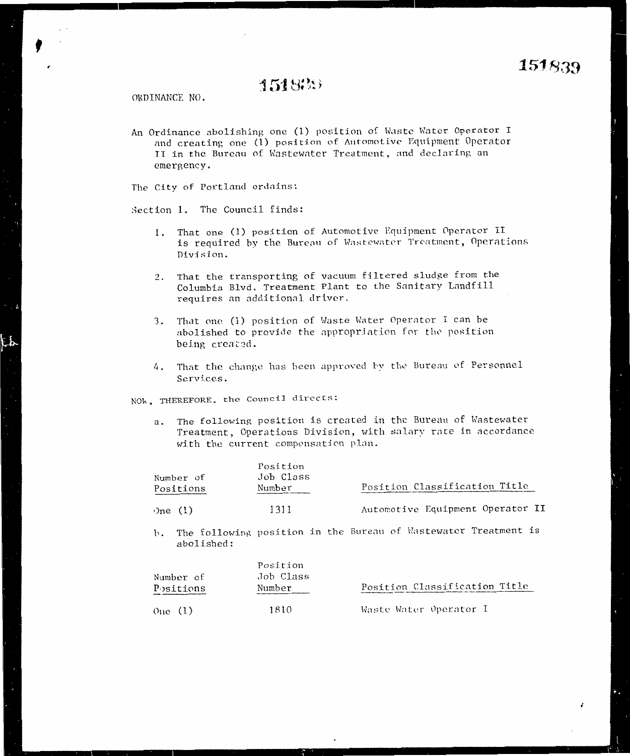## 151833

ORDINANCE NO.

An Ordinance abolishing one (1) position of Waste Water Operator I and creating one (1) position of Automotive Equipment Operator II in the Bureau of Wastewater Treatment, and declaring an emergency.

The City of Portland ordains:

Section 1. The Council finds:

- That one (1) position of Automotive Equipment Operator II 1. is required by the Bureau of Wastewater Treatment, Operations Division.
- 2. That the transporting of vacuum filtered sludge from the Columbia Blvd. Treatment Plant to the Sanitary Landfill requires an additional driver.
- 3. That one (1) position of Waste Water Operator I can be abolished to provide the appropriation for the position being created.
- 4. That the change has been approved by the Bureau of Personnel Services.

NOW, THEREFORE, the Council directs:

The following position is created in the Bureau of Wastewater а. Treatment, Operations Division, with salary rate in accordance with the current compensation plan.

| Number of<br>Positions | Position<br>Job Class<br>Number | Position Classification Title    |  |
|------------------------|---------------------------------|----------------------------------|--|
| One $(1)$              | 1311                            | Automotive Equipment Operator II |  |

b. The following position in the Bureau of Wastewater Treatment is abolished:

| Number of<br>Positions | Position<br>Job Class<br>Number | Position Classification Title |
|------------------------|---------------------------------|-------------------------------|
| One(1)                 | 1810                            | Waste Water Operator I        |

ł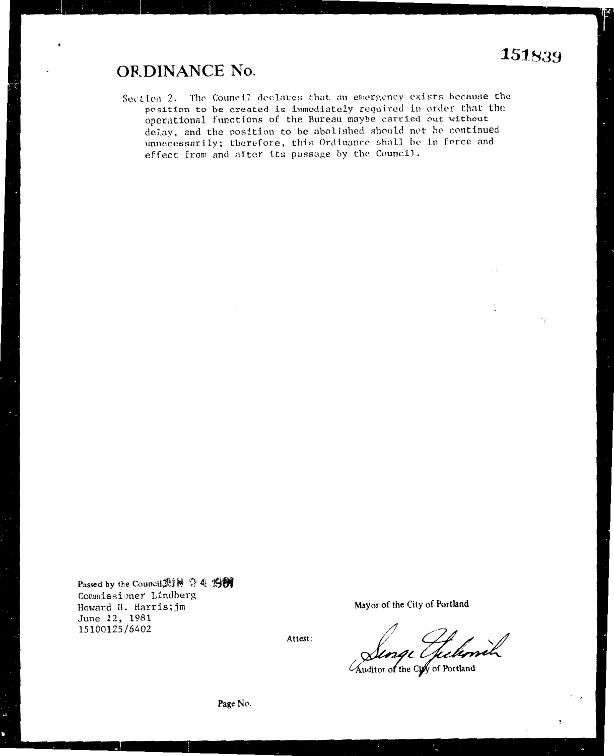## **ORDINANCE No.**

Section 2. The Council declares that an emergency exists because the position to be created is immediately required in order that the operational functions of the Bureau maybe carried out without delay, and the position to be abolished should not be continued unnecessarily; therefore, this Ordinance shall be in force and effect from and after its passage by the Council.

Passed by the Council 測量 今生 1989 Commissioner Lindberg Howard H. Harris; jm June 12, 1981 15100125/6402

Mayor of the City of Portland

Attest:

ge (Jelenik

Auditor of the City of Portland